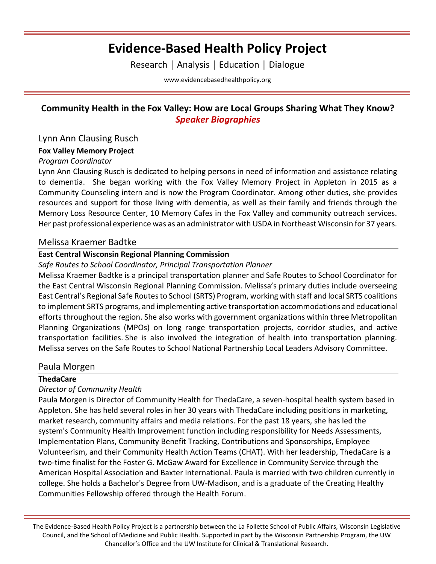# **Evidence-Based Health Policy Project**

Research │ Analysis │ Education │ Dialogue

[www.evidencebasedhealthpolicy.org](file:///C:/Users/randrae/Downloads/www.evidencebasedhealthpolicy.org)

# **Community Health in the Fox Valley: How are Local Groups Sharing What They Know?**  *Speaker Biographies*

# Lynn Ann Clausing Rusch

## **Fox Valley Memory Project**

### *Program Coordinator*

Lynn Ann Clausing Rusch is dedicated to helping persons in need of information and assistance relating to dementia. She began working with the Fox Valley Memory Project in Appleton in 2015 as a Community Counseling intern and is now the Program Coordinator. Among other duties, she provides resources and support for those living with dementia, as well as their family and friends through the Memory Loss Resource Center, 10 Memory Cafes in the Fox Valley and community outreach services. Her past professional experience was as an administrator with USDA in Northeast Wisconsin for 37 years.

## Melissa Kraemer Badtke

## **East Central Wisconsin Regional Planning Commission**

### *Safe Routes to School Coordinator, Principal Transportation Planner*

Melissa Kraemer Badtke is a principal transportation planner and Safe Routes to School Coordinator for the East Central Wisconsin Regional Planning Commission. Melissa's primary duties include overseeing East Central's Regional Safe Routes to School (SRTS) Program, working with staff and local SRTS coalitions to implement SRTS programs, and implementing active transportation accommodations and educational efforts throughout the region. She also works with government organizations within three Metropolitan Planning Organizations (MPOs) on long range transportation projects, corridor studies, and active transportation facilities. She is also involved the integration of health into transportation planning. Melissa serves on the Safe Routes to School National Partnership Local Leaders Advisory Committee.

## Paula Morgen

## **ThedaCare**

## *Director of Community Health*

Paula Morgen is Director of Community Health for ThedaCare, a seven-hospital health system based in Appleton. She has held several roles in her 30 years with ThedaCare including positions in marketing, market research, community affairs and media relations. For the past 18 years, she has led the system's Community Health Improvement function including responsibility for Needs Assessments, Implementation Plans, Community Benefit Tracking, Contributions and Sponsorships, Employee Volunteerism, and their Community Health Action Teams (CHAT). With her leadership, ThedaCare is a two-time finalist for the Foster G. McGaw Award for Excellence in Community Service through the American Hospital Association and Baxter International. Paula is married with two children currently in college. She holds a Bachelor's Degree from UW-Madison, and is a graduate of the Creating Healthy Communities Fellowship offered through the Health Forum.

The Evidence-Based Health Policy Project is a partnership between the La Follette School of Public Affairs, Wisconsin Legislative Council, and the School of Medicine and Public Health. Supported in part by the Wisconsin Partnership Program, the UW Chancellor's Office and the UW Institute for Clinical & Translational Research.